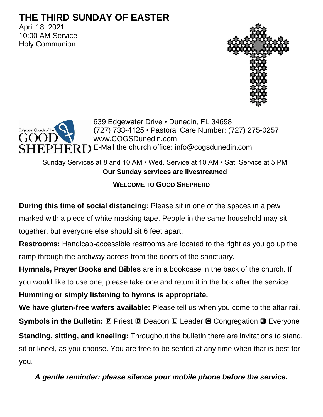# **THE THIRD SUNDAY OF EASTER**

April 18, 2021 10:00 AM Service Holy Communion





639 Edgewater Drive • Dunedin, FL 34698 (727) 733-4125 • Pastoral Care Number: (727) 275-0257 www.COGSDunedin.com E-Mail the church office: info@cogsdunedin.com

Sunday Services at 8 and 10 AM • Wed. Service at 10 AM • Sat. Service at 5 PM **Our Sunday services are livestreamed**

# **WELCOME TO GOOD SHEPHERD**

**During this time of social distancing:** Please sit in one of the spaces in a pew marked with a piece of white masking tape. People in the same household may sit together, but everyone else should sit 6 feet apart.

**Restrooms:** Handicap-accessible restrooms are located to the right as you go up the ramp through the archway across from the doors of the sanctuary.

**Hymnals, Prayer Books and Bibles** are in a bookcase in the back of the church. If

you would like to use one, please take one and return it in the box after the service.

**Humming or simply listening to hymns is appropriate.**

**We have gluten-free wafers available:** Please tell us when you come to the altar rail. **Symbols in the Bulletin: P** Priest **D** Deacon **L** Leader **G** Congregation **M** Everyone **Standing, sitting, and kneeling:** Throughout the bulletin there are invitations to stand, sit or kneel, as you choose. You are free to be seated at any time when that is best for you.

*A gentle reminder: please silence your mobile phone before the service.*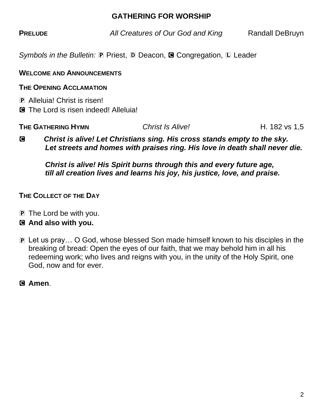### **GATHERING FOR WORSHIP**

**PRELUDE** *All Creatures of Our God and King* Randall DeBruyn

*Symbols in the Bulletin:* P Priest, D Deacon, **G** Congregation, L Leader

**WELCOME AND ANNOUNCEMENTS**

**THE OPENING ACCLAMATION**

P Alleluia! Christ is risen! C The Lord is risen indeed! Alleluia!

**THE GATHERING HYMN Christ Is Alive!** And **H.** 182 vs 1,5

C *Christ is alive! Let Christians sing. His cross stands empty to the sky. Let streets and homes with praises ring. His love in death shall never die.*

*Christ is alive! His Spirit burns through this and every future age, till all creation lives and learns his joy, his justice, love, and praise.*

## **THE COLLECT OF THE DAY**

P The Lord be with you.

## C **And also with you.**

P Let us pray… O God, whose blessed Son made himself known to his disciples in the breaking of bread: Open the eyes of our faith, that we may behold him in all his redeeming work; who lives and reigns with you, in the unity of the Holy Spirit, one God, now and for ever.

C **Amen**.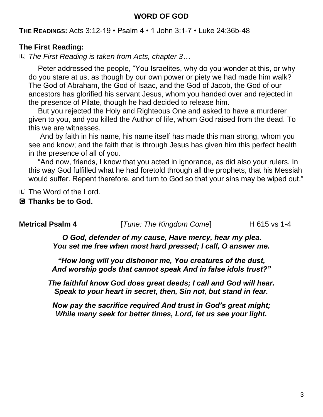#### **WORD OF GOD**

**THE READINGS:** Acts 3:12-19 • Psalm 4 • 1 John 3:1-7 • Luke 24:36b-48

#### **The First Reading:**

L *The First Reading is taken from Acts, chapter 3…*

Peter addressed the people, "You Israelites, why do you wonder at this, or why do you stare at us, as though by our own power or piety we had made him walk? The God of Abraham, the God of Isaac, and the God of Jacob, the God of our ancestors has glorified his servant Jesus, whom you handed over and rejected in the presence of Pilate, though he had decided to release him.

But you rejected the Holy and Righteous One and asked to have a murderer given to you, and you killed the Author of life, whom God raised from the dead. To this we are witnesses.

And by faith in his name, his name itself has made this man strong, whom you see and know; and the faith that is through Jesus has given him this perfect health in the presence of all of you.

"And now, friends, I know that you acted in ignorance, as did also your rulers. In this way God fulfilled what he had foretold through all the prophets, that his Messiah would suffer. Repent therefore, and turn to God so that your sins may be wiped out."

L The Word of the Lord.

#### C **Thanks be to God.**

**Metrical Psalm 4** *ITune: The Kingdom Come* **H** 615 vs 1-4

*O God, defender of my cause, Have mercy, hear my plea. You set me free when most hard pressed; I call, O answer me.*

*"How long will you dishonor me, You creatures of the dust, And worship gods that cannot speak And in false idols trust?"*

*The faithful know God does great deeds; I call and God will hear. Speak to your heart in secret, then, Sin not, but stand in fear.*

*Now pay the sacrifice required And trust in God's great might; While many seek for better times, Lord, let us see your light.*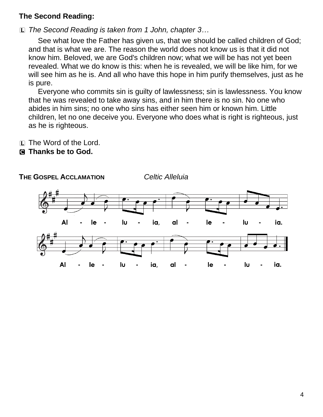### **The Second Reading:**

L *The Second Reading is taken from 1 John, chapter 3…*

See what love the Father has given us, that we should be called children of God; and that is what we are. The reason the world does not know us is that it did not know him. Beloved, we are God's children now; what we will be has not yet been revealed. What we do know is this: when he is revealed, we will be like him, for we will see him as he is. And all who have this hope in him purify themselves, just as he is pure.

Everyone who commits sin is guilty of lawlessness; sin is lawlessness. You know that he was revealed to take away sins, and in him there is no sin. No one who abides in him sins; no one who sins has either seen him or known him. Little children, let no one deceive you. Everyone who does what is right is righteous, just as he is righteous.

L The Word of the Lord.

C **Thanks be to God.**

**THE GOSPEL ACCLAMATION** *Celtic Alleluia*

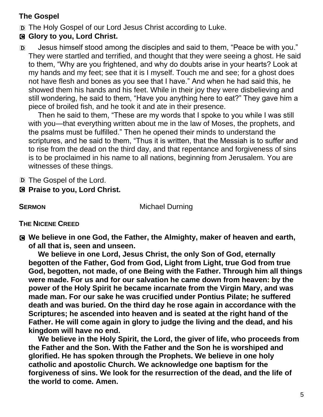# **The Gospel**

D The Holy Gospel of our Lord Jesus Christ according to Luke.

# C **Glory to you, Lord Christ.**

D Jesus himself stood among the disciples and said to them, "Peace be with you." They were startled and terrified, and thought that they were seeing a ghost. He said to them, "Why are you frightened, and why do doubts arise in your hearts? Look at my hands and my feet; see that it is I myself. Touch me and see; for a ghost does not have flesh and bones as you see that I have." And when he had said this, he showed them his hands and his feet. While in their joy they were disbelieving and still wondering, he said to them, "Have you anything here to eat?" They gave him a piece of broiled fish, and he took it and ate in their presence.

Then he said to them, "These are my words that I spoke to you while I was still with you—that everything written about me in the law of Moses, the prophets, and the psalms must be fulfilled." Then he opened their minds to understand the scriptures, and he said to them, "Thus it is written, that the Messiah is to suffer and to rise from the dead on the third day, and that repentance and forgiveness of sins is to be proclaimed in his name to all nations, beginning from Jerusalem. You are witnesses of these things.

D The Gospel of the Lord.

C **Praise to you, Lord Christ.**

**SERMON** Michael Durning

## **THE NICENE CREED**

C **We believe in one God, the Father, the Almighty, maker of heaven and earth, of all that is, seen and unseen.** 

**We believe in one Lord, Jesus Christ, the only Son of God, eternally begotten of the Father, God from God, Light from Light, true God from true God, begotten, not made, of one Being with the Father. Through him all things were made. For us and for our salvation he came down from heaven: by the power of the Holy Spirit he became incarnate from the Virgin Mary, and was made man. For our sake he was crucified under Pontius Pilate; he suffered death and was buried. On the third day he rose again in accordance with the Scriptures; he ascended into heaven and is seated at the right hand of the Father. He will come again in glory to judge the living and the dead, and his kingdom will have no end.**

**We believe in the Holy Spirit, the Lord, the giver of life, who proceeds from the Father and the Son. With the Father and the Son he is worshiped and glorified. He has spoken through the Prophets. We believe in one holy catholic and apostolic Church. We acknowledge one baptism for the forgiveness of sins. We look for the resurrection of the dead, and the life of the world to come. Amen.**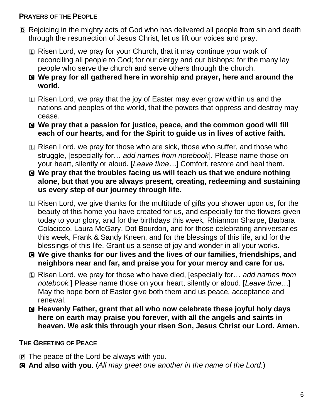### **PRAYERS OF THE PEOPLE**

- D Rejoicing in the mighty acts of God who has delivered all people from sin and death through the resurrection of Jesus Christ, let us lift our voices and pray.
	- L Risen Lord, we pray for your Church, that it may continue your work of reconciling all people to God; for our clergy and our bishops; for the many lay people who serve the church and serve others through the church.
	- C **We pray for all gathered here in worship and prayer, here and around the world.**
	- L Risen Lord, we pray that the joy of Easter may ever grow within us and the nations and peoples of the world, that the powers that oppress and destroy may cease.
	- C **We pray that a passion for justice, peace, and the common good will fill each of our hearts, and for the Spirit to guide us in lives of active faith.**
	- L Risen Lord, we pray for those who are sick, those who suffer, and those who struggle, [especially for… *add names from notebook*]. Please name those on your heart, silently or aloud. [*Leave time…*] Comfort, restore and heal them.
	- C **We pray that the troubles facing us will teach us that we endure nothing alone, but that you are always present, creating, redeeming and sustaining us every step of our journey through life.**
	- L Risen Lord, we give thanks for the multitude of gifts you shower upon us, for the beauty of this home you have created for us, and especially for the flowers given today to your glory, and for the birthdays this week, Rhiannon Sharpe, Barbara Colacicco, Laura McGary, Dot Bourdon, and for those celebrating anniversaries this week, Frank & Sandy Kneen, and for the blessings of this life, and for the blessings of this life, Grant us a sense of joy and wonder in all your works.
	- C **We give thanks for our lives and the lives of our families, friendships, and neighbors near and far, and praise you for your mercy and care for us.**
	- L Risen Lord, we pray for those who have died, [especially for… *add names from notebook.*] Please name those on your heart, silently or aloud. [*Leave time…*] May the hope born of Easter give both them and us peace, acceptance and renewal.
	- C **Heavenly Father, grant that all who now celebrate these joyful holy days here on earth may praise you forever, with all the angels and saints in heaven. We ask this through your risen Son, Jesus Christ our Lord. Amen.**

# **THE GREETING OF PEACE**

- **P** The peace of the Lord be always with you.
- C **And also with you.** (*All may greet one another in the name of the Lord.*)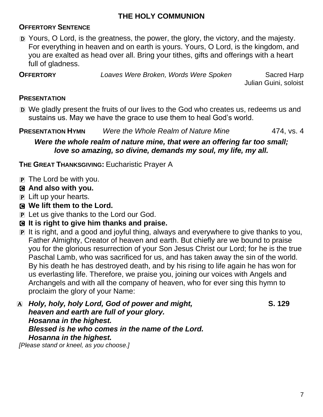# **THE HOLY COMMUNION**

## **OFFERTORY SENTENCE**

D Yours, O Lord, is the greatness, the power, the glory, the victory, and the majesty. For everything in heaven and on earth is yours. Yours, O Lord, is the kingdom, and you are exalted as head over all. Bring your tithes, gifts and offerings with a heart full of gladness.

**OFFERTORY** *Loaves Were Broken, Words Were Spoken* Sacred Harp

Julian Guini, soloist

### **PRESENTATION**

D We gladly present the fruits of our lives to the God who creates us, redeems us and sustains us. May we have the grace to use them to heal God's world.

**PRESENTATION HYMN** *Were the Whole Realm of Nature Mine* 474, vs. 4

*Were the whole realm of nature mine, that were an offering far too small; love so amazing, so divine, demands my soul, my life, my all.*

**THE GREAT THANKSGIVING:** Eucharistic Prayer A

- P The Lord be with you.
- C **And also with you.**
- P Lift up your hearts.
- C **We lift them to the Lord.**
- P Let us give thanks to the Lord our God.
- C **It is right to give him thanks and praise.**
- P It is right, and a good and joyful thing, always and everywhere to give thanks to you, Father Almighty, Creator of heaven and earth. But chiefly are we bound to praise you for the glorious resurrection of your Son Jesus Christ our Lord; for he is the true Paschal Lamb, who was sacrificed for us, and has taken away the sin of the world. By his death he has destroyed death, and by his rising to life again he has won for us everlasting life. Therefore, we praise you, joining our voices with Angels and Archangels and with all the company of heaven, who for ever sing this hymn to proclaim the glory of your Name:

| A Holy, holy, holy Lord, God of power and might, | S. 129 |
|--------------------------------------------------|--------|
| heaven and earth are full of your glory.         |        |
| Hosanna in the highest.                          |        |
| Blessed is he who comes in the name of the Lord. |        |
| Hosanna in the highest.                          |        |
| [Please stand or kneel, as you choose.]          |        |
|                                                  |        |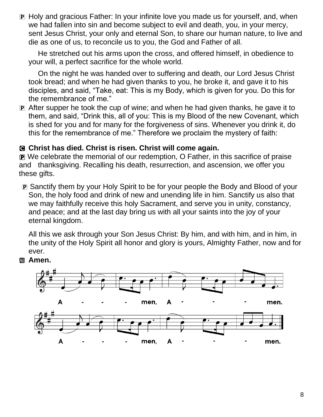P Holy and gracious Father: In your infinite love you made us for yourself, and, when we had fallen into sin and become subject to evil and death, you, in your mercy, sent Jesus Christ, your only and eternal Son, to share our human nature, to live and die as one of us, to reconcile us to you, the God and Father of all.

He stretched out his arms upon the cross, and offered himself, in obedience to your will, a perfect sacrifice for the whole world.

On the night he was handed over to suffering and death, our Lord Jesus Christ took bread; and when he had given thanks to you, he broke it, and gave it to his disciples, and said, "Take, eat: This is my Body, which is given for you. Do this for the remembrance of me."

P After supper he took the cup of wine; and when he had given thanks, he gave it to them, and said, "Drink this, all of you: This is my Blood of the new Covenant, which is shed for you and for many for the forgiveness of sins. Whenever you drink it, do this for the remembrance of me." Therefore we proclaim the mystery of faith:

### C **Christ has died. Christ is risen. Christ will come again.**

P We celebrate the memorial of our redemption, O Father, in this sacrifice of praise and thanksgiving. Recalling his death, resurrection, and ascension, we offer you these gifts.

P Sanctify them by your Holy Spirit to be for your people the Body and Blood of your Son, the holy food and drink of new and unending life in him. Sanctify us also that we may faithfully receive this holy Sacrament, and serve you in unity, constancy, and peace; and at the last day bring us with all your saints into the joy of your eternal kingdom.

All this we ask through your Son Jesus Christ: By him, and with him, and in him, in the unity of the Holy Spirit all honor and glory is yours, Almighty Father, now and for ever.



**图 Amen.**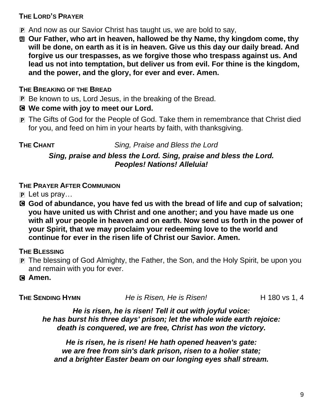### **THE LORD'S PRAYER**

- P And now as our Savior Christ has taught us, we are bold to say,
- a **Our Father, who art in heaven, hallowed be thy Name, thy kingdom come, thy will be done, on earth as it is in heaven. Give us this day our daily bread. And forgive us our trespasses, as we forgive those who trespass against us. And lead us not into temptation, but deliver us from evil. For thine is the kingdom, and the power, and the glory, for ever and ever. Amen.**

### **THE BREAKING OF THE BREAD**

P Be known to us, Lord Jesus, in the breaking of the Bread.

### C **We come with joy to meet our Lord.**

P The Gifts of God for the People of God. Take them in remembrance that Christ died for you, and feed on him in your hearts by faith, with thanksgiving.

**THE CHANT** *Sing, Praise and Bless the Lord*

*Sing, praise and bless the Lord. Sing, praise and bless the Lord. Peoples! Nations! Alleluia!*

## **THE PRAYER AFTER COMMUNION**

- $\mathbf{P}$  Let us pray...
- C **God of abundance, you have fed us with the bread of life and cup of salvation; you have united us with Christ and one another; and you have made us one with all your people in heaven and on earth. Now send us forth in the power of your Spirit, that we may proclaim your redeeming love to the world and continue for ever in the risen life of Christ our Savior. Amen.**

## **THE BLESSING**

- P The blessing of God Almighty, the Father, the Son, and the Holy Spirit, be upon you and remain with you for ever.
- C **Amen.**

**THE SENDING HYMN** *He is Risen, He is Risen!* H 180 vs 1, 4

*He is risen, he is risen! Tell it out with joyful voice: he has burst his three days' prison; let the whole wide earth rejoice: death is conquered, we are free, Christ has won the victory.*

*He is risen, he is risen! He hath opened heaven's gate: we are free from sin's dark prison, risen to a holier state; and a brighter Easter beam on our longing eyes shall stream.*